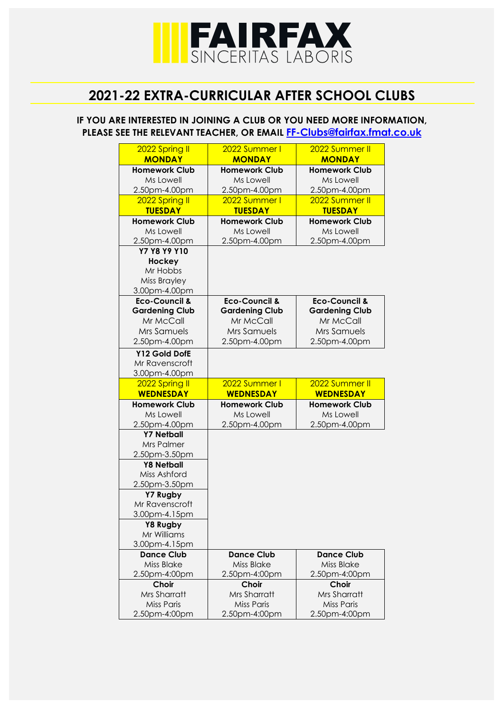

## **2021-22 EXTRA-CURRICULAR AFTER SCHOOL CLUBS**

## **IF YOU ARE INTERESTED IN JOINING A CLUB OR YOU NEED MORE INFORMATION, PLEASE SEE THE RELEVANT TEACHER, OR EMAIL [FF-Clubs@fairfax.fmat.co.uk](mailto:FF-Clubs@fairfax.fmat.co.uk)**

| 2022 Spring II                  | 2022 Summer I                                | 2022 Summer II           |
|---------------------------------|----------------------------------------------|--------------------------|
| <b>MONDAY</b>                   | <b>MONDAY</b><br><b>MONDAY</b>               |                          |
| <b>Homework Club</b>            | <b>Homework Club</b><br><b>Homework Club</b> |                          |
| Ms Lowell                       | Ms Lowell                                    | Ms Lowell                |
| 2.50pm-4.00pm                   | 2.50pm-4.00pm                                | 2.50pm-4.00pm            |
| 2022 Spring II                  | 2022 Summer I                                | 2022 Summer II           |
| <b>TUESDAY</b>                  | <b>TUESDAY</b>                               | <b>TUESDAY</b>           |
| <b>Homework Club</b>            | <b>Homework Club</b>                         | <b>Homework Club</b>     |
| Ms Lowell                       | Ms Lowell                                    | Ms Lowell                |
| 2.50pm-4.00pm                   | 2.50pm-4.00pm                                | 2.50pm-4.00pm            |
| Y7 Y8 Y9 Y10                    |                                              |                          |
| <b>Hockey</b>                   |                                              |                          |
| Mr Hobbs                        |                                              |                          |
| Miss Brayley                    |                                              |                          |
| 3.00pm-4.00pm                   |                                              |                          |
| <b>Eco-Council &amp;</b>        | <b>Eco-Council &amp;</b>                     | <b>Eco-Council &amp;</b> |
| <b>Gardening Club</b>           | <b>Gardening Club</b>                        | <b>Gardening Club</b>    |
| Mr McCall                       | Mr McCall                                    | Mr McCall                |
| Mrs Samuels                     | Mrs Samuels                                  | Mrs Samuels              |
| 2.50pm-4.00pm                   | 2.50pm-4.00pm                                | 2.50pm-4.00pm            |
| Y12 Gold DofE                   |                                              |                          |
| Mr Ravenscroft                  |                                              |                          |
| 3.00pm-4.00pm                   |                                              |                          |
|                                 |                                              |                          |
| 2022 Spring II                  | 2022 Summer I                                | 2022 Summer II           |
| <b>WEDNESDAY</b>                | <b>WEDNESDAY</b>                             | <b>WEDNESDAY</b>         |
| <b>Homework Club</b>            | <b>Homework Club</b>                         | <b>Homework Club</b>     |
| Ms Lowell                       | Ms Lowell                                    | Ms Lowell                |
| 2.50pm-4.00pm                   | 2.50pm-4.00pm                                | 2.50pm-4.00pm            |
| <b>Y7 Netball</b>               |                                              |                          |
| Mrs Palmer                      |                                              |                          |
| 2.50pm-3.50pm                   |                                              |                          |
| <b>Y8 Netball</b>               |                                              |                          |
| Miss Ashford                    |                                              |                          |
| 2.50pm-3.50pm                   |                                              |                          |
| Y7 Rugby                        |                                              |                          |
| Mr Ravenscroft                  |                                              |                          |
| 3.00pm-4.15pm                   |                                              |                          |
| Y8 Rugby                        |                                              |                          |
| Mr Williams                     |                                              |                          |
| 3.00pm-4.15pm                   | <b>Dance Club</b>                            | <b>Dance Club</b>        |
| <b>Dance Club</b><br>Miss Blake | Miss Blake                                   | Miss Blake               |
|                                 |                                              |                          |
| 2.50pm-4:00pm<br>Choir          | 2.50pm-4:00pm<br>Choir                       | 2.50pm-4:00pm<br>Choir   |
| Mrs Sharratt                    | Mrs Sharratt                                 | Mrs Sharratt             |
| <b>Miss Paris</b>               | Miss Paris                                   | Miss Paris               |